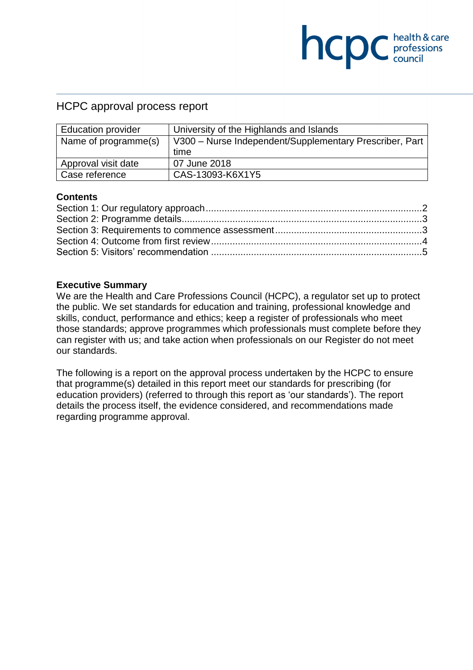## HCPC approval process report

| <b>Education provider</b> | University of the Highlands and Islands                 |
|---------------------------|---------------------------------------------------------|
| Name of programme(s)      | V300 - Nurse Independent/Supplementary Prescriber, Part |
|                           | time                                                    |
| Approval visit date       | 07 June 2018                                            |
| Case reference            | CAS-13093-K6X1Y5                                        |

**COC** health & care

### **Contents**

### **Executive Summary**

We are the Health and Care Professions Council (HCPC), a regulator set up to protect the public. We set standards for education and training, professional knowledge and skills, conduct, performance and ethics; keep a register of professionals who meet those standards; approve programmes which professionals must complete before they can register with us; and take action when professionals on our Register do not meet our standards.

The following is a report on the approval process undertaken by the HCPC to ensure that programme(s) detailed in this report meet our standards for prescribing (for education providers) (referred to through this report as 'our standards'). The report details the process itself, the evidence considered, and recommendations made regarding programme approval.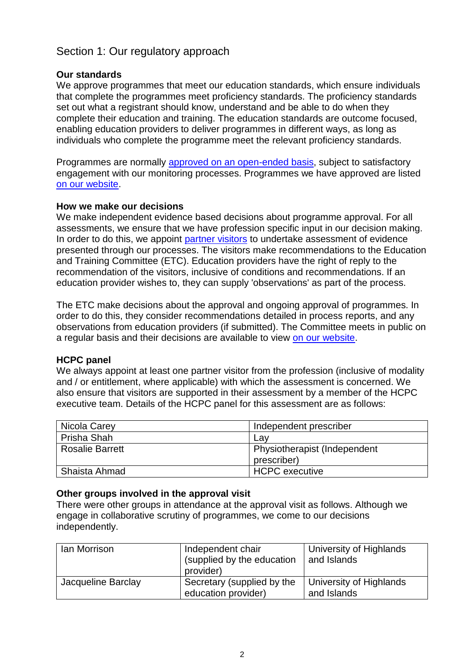# Section 1: Our regulatory approach

### **Our standards**

We approve programmes that meet our education standards, which ensure individuals that complete the programmes meet proficiency standards. The proficiency standards set out what a registrant should know, understand and be able to do when they complete their education and training. The education standards are outcome focused, enabling education providers to deliver programmes in different ways, as long as individuals who complete the programme meet the relevant proficiency standards.

Programmes are normally approved on an open-ended basis, subject to satisfactory engagement with our monitoring processes. Programmes we have approved are listed on our website.

### **How we make our decisions**

We make independent evidence based decisions about programme approval. For all assessments, we ensure that we have profession specific input in our decision making. In order to do this, we appoint partner visitors to undertake assessment of evidence presented through our processes. The visitors make recommendations to the Education and Training Committee (ETC). Education providers have the right of reply to the recommendation of the visitors, inclusive of conditions and recommendations. If an education provider wishes to, they can supply 'observations' as part of the process.

The ETC make decisions about the approval and ongoing approval of programmes. In order to do this, they consider recommendations detailed in process reports, and any observations from education providers (if submitted). The Committee meets in public on a regular basis and their decisions are available to view on our website.

### **HCPC panel**

We always appoint at least one partner visitor from the profession (inclusive of modality and / or entitlement, where applicable) with which the assessment is concerned. We also ensure that visitors are supported in their assessment by a member of the HCPC executive team. Details of the HCPC panel for this assessment are as follows:

| Nicola Carey           | Independent prescriber       |
|------------------------|------------------------------|
| Prisha Shah            | Lav                          |
| <b>Rosalie Barrett</b> | Physiotherapist (Independent |
|                        | prescriber)                  |
| Shaista Ahmad          | HCPC executive               |

### **Other groups involved in the approval visit**

There were other groups in attendance at the approval visit as follows. Although we engage in collaborative scrutiny of programmes, we come to our decisions independently.

| lan Morrison       | Independent chair<br>(supplied by the education<br>provider) | University of Highlands<br>and Islands |
|--------------------|--------------------------------------------------------------|----------------------------------------|
| Jacqueline Barclay | Secretary (supplied by the<br>education provider)            | University of Highlands<br>and Islands |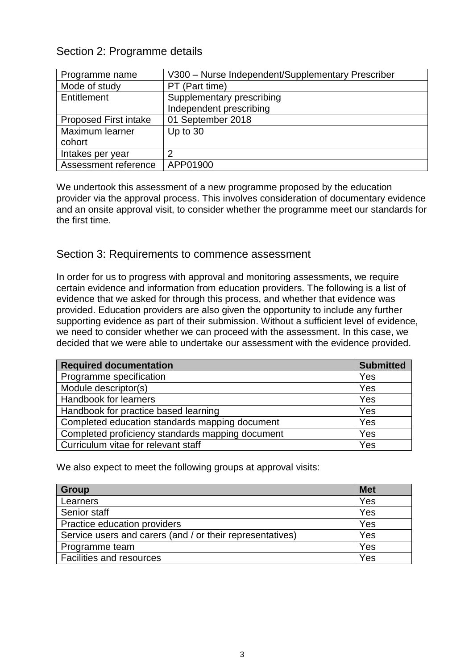# Section 2: Programme details

| Programme name               | V300 - Nurse Independent/Supplementary Prescriber |
|------------------------------|---------------------------------------------------|
| Mode of study                | PT (Part time)                                    |
| Entitlement                  | Supplementary prescribing                         |
|                              | Independent prescribing                           |
| <b>Proposed First intake</b> | 01 September 2018                                 |
| Maximum learner              | Up to 30                                          |
| cohort                       |                                                   |
| Intakes per year             | 2                                                 |
| Assessment reference         | APP01900                                          |

We undertook this assessment of a new programme proposed by the education provider via the approval process. This involves consideration of documentary evidence and an onsite approval visit, to consider whether the programme meet our standards for the first time.

### Section 3: Requirements to commence assessment

In order for us to progress with approval and monitoring assessments, we require certain evidence and information from education providers. The following is a list of evidence that we asked for through this process, and whether that evidence was provided. Education providers are also given the opportunity to include any further supporting evidence as part of their submission. Without a sufficient level of evidence, we need to consider whether we can proceed with the assessment. In this case, we decided that we were able to undertake our assessment with the evidence provided.

| <b>Required documentation</b>                    | <b>Submitted</b> |
|--------------------------------------------------|------------------|
| Programme specification                          | Yes              |
| Module descriptor(s)                             | Yes              |
| Handbook for learners                            | Yes              |
| Handbook for practice based learning             | Yes              |
| Completed education standards mapping document   | Yes              |
| Completed proficiency standards mapping document | Yes              |
| Curriculum vitae for relevant staff              | Yes              |

We also expect to meet the following groups at approval visits:

| <b>Group</b>                                              | <b>Met</b> |
|-----------------------------------------------------------|------------|
| Learners                                                  | Yes        |
| Senior staff                                              | Yes        |
| Practice education providers                              | Yes        |
| Service users and carers (and / or their representatives) | Yes        |
| Programme team                                            | Yes        |
| <b>Facilities and resources</b>                           | Yes        |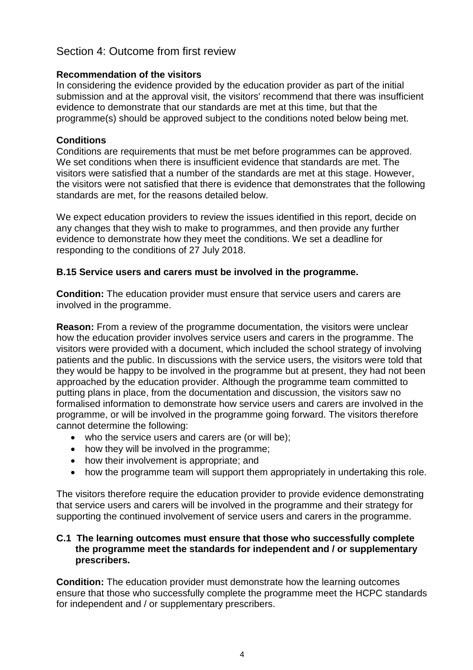# Section 4: Outcome from first review

### **Recommendation of the visitors**

In considering the evidence provided by the education provider as part of the initial submission and at the approval visit, the visitors' recommend that there was insufficient evidence to demonstrate that our standards are met at this time, but that the programme(s) should be approved subject to the conditions noted below being met.

### **Conditions**

Conditions are requirements that must be met before programmes can be approved. We set conditions when there is insufficient evidence that standards are met. The visitors were satisfied that a number of the standards are met at this stage. However, the visitors were not satisfied that there is evidence that demonstrates that the following standards are met, for the reasons detailed below.

We expect education providers to review the issues identified in this report, decide on any changes that they wish to make to programmes, and then provide any further evidence to demonstrate how they meet the conditions. We set a deadline for responding to the conditions of 27 July 2018.

### **B.15 Service users and carers must be involved in the programme.**

**Condition:** The education provider must ensure that service users and carers are involved in the programme.

**Reason:** From a review of the programme documentation, the visitors were unclear how the education provider involves service users and carers in the programme. The visitors were provided with a document, which included the school strategy of involving patients and the public. In discussions with the service users, the visitors were told that they would be happy to be involved in the programme but at present, they had not been approached by the education provider. Although the programme team committed to putting plans in place, from the documentation and discussion, the visitors saw no formalised information to demonstrate how service users and carers are involved in the programme, or will be involved in the programme going forward. The visitors therefore cannot determine the following:

- who the service users and carers are (or will be);
- how they will be involved in the programme;
- how their involvement is appropriate; and
- how the programme team will support them appropriately in undertaking this role.

The visitors therefore require the education provider to provide evidence demonstrating that service users and carers will be involved in the programme and their strategy for supporting the continued involvement of service users and carers in the programme.

### **C.1 The learning outcomes must ensure that those who successfully complete the programme meet the standards for independent and / or supplementary prescribers.**

**Condition:** The education provider must demonstrate how the learning outcomes ensure that those who successfully complete the programme meet the HCPC standards for independent and / or supplementary prescribers.